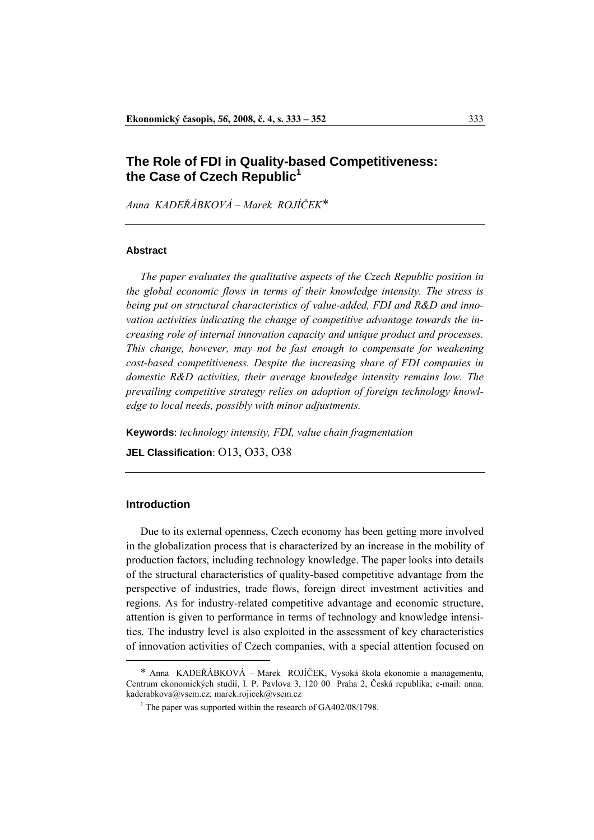# **The Role of FDI in Quality-based Competitiveness: the Case of Czech Republic1**

*Anna KADEŘÁBKOVÁ – Marek ROJÍČEK*[\\*](#page-0-0)[1](#page-0-1)

### **Abstract**

 *The paper evaluates the qualitative aspects of the Czech Republic position in the global economic flows in terms of their knowledge intensity. The stress is being put on structural characteristics of value-added, FDI and R&D and innovation activities indicating the change of competitive advantage towards the increasing role of internal innovation capacity and unique product and processes. This change, however, may not be fast enough to compensate for weakening cost-based competitiveness. Despite the increasing share of FDI companies in domestic R&D activities, their average knowledge intensity remains low. The prevailing competitive strategy relies on adoption of foreign technology knowledge to local needs, possibly with minor adjustments.* 

**Keywords**: *technology intensity, FDI, value chain fragmentation*

**JEL Classification**: O13, O33, O38

## **Introduction**

 $\overline{a}$ 

 Due to its external openness, Czech economy has been getting more involved in the globalization process that is characterized by an increase in the mobility of production factors, including technology knowledge. The paper looks into details of the structural characteristics of quality-based competitive advantage from the perspective of industries, trade flows, foreign direct investment activities and regions. As for industry-related competitive advantage and economic structure, attention is given to performance in terms of technology and knowledge intensities. The industry level is also exploited in the assessment of key characteristics of innovation activities of Czech companies, with a special attention focused on

<span id="page-0-1"></span><span id="page-0-0"></span><sup>\*</sup> Anna KADEŘÁBKOVÁ – Marek ROJÍČEK, Vysoká škola ekonomie a managementu, Centrum ekonomických studií, I. P. Pavlova 3, 120 00 Praha 2, Česká republika; e-mail: [anna.](mailto:anna.kaderabkova@vsem.cz)  k[aderabkova@vsem.cz;](mailto:anna.kaderabkova@vsem.cz) marek.rojicek@vsem.cz

<sup>&</sup>lt;sup>1</sup> The paper was supported within the research of GA402/08/1798.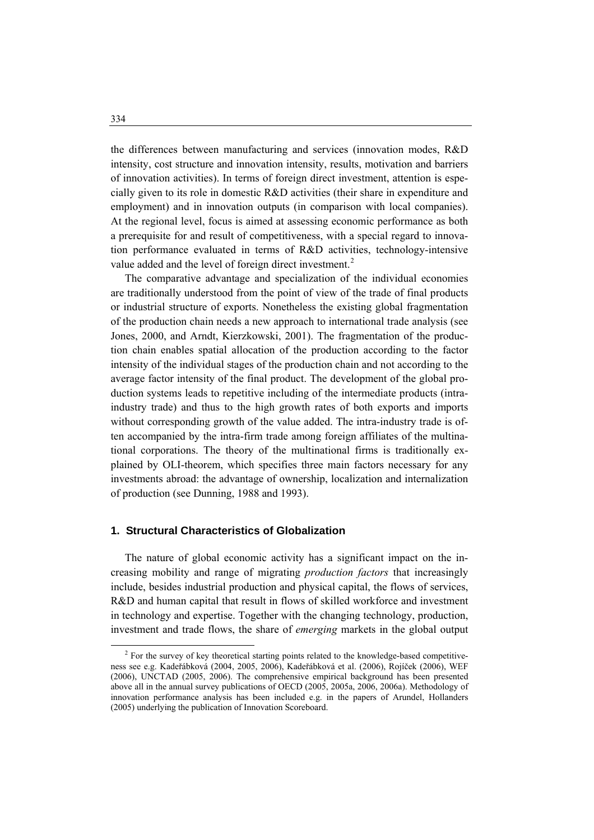the differences between manufacturing and services (innovation modes, R&D intensity, cost structure and innovation intensity, results, motivation and barriers of innovation activities). In terms of foreign direct investment, attention is especially given to its role in domestic R&D activities (their share in expenditure and employment) and in innovation outputs (in comparison with local companies). At the regional level, focus is aimed at assessing economic performance as both a prerequisite for and result of competitiveness, with a special regard to innovation performance evaluated in terms of R&D activities, technology-intensive value added and the level of foreign direct investment.<sup>[2](#page-1-0)</sup>

 The comparative advantage and specialization of the individual economies are traditionally understood from the point of view of the trade of final products or industrial structure of exports. Nonetheless the existing global fragmentation of the production chain needs a new approach to international trade analysis (see Jones, 2000, and Arndt, Kierzkowski, 2001). The fragmentation of the production chain enables spatial allocation of the production according to the factor intensity of the individual stages of the production chain and not according to the average factor intensity of the final product. The development of the global production systems leads to repetitive including of the intermediate products (intraindustry trade) and thus to the high growth rates of both exports and imports without corresponding growth of the value added. The intra-industry trade is often accompanied by the intra-firm trade among foreign affiliates of the multinational corporations. The theory of the multinational firms is traditionally explained by OLI-theorem, which specifies three main factors necessary for any investments abroad: the advantage of ownership, localization and internalization of production (see Dunning, 1988 and 1993).

# **1. Structural Characteristics of Globalization**

 The nature of global economic activity has a significant impact on the increasing mobility and range of migrating *production factors* that increasingly include, besides industrial production and physical capital, the flows of services, R&D and human capital that result in flows of skilled workforce and investment in technology and expertise. Together with the changing technology, production, investment and trade flows, the share of *emerging* markets in the global output

<span id="page-1-0"></span> <sup>2</sup> <sup>2</sup> For the survey of key theoretical starting points related to the knowledge-based competitiveness see e.g. Kadeřábková (2004, 2005, 2006), Kadeřábková et al. (2006), Rojíček (2006), WEF (2006), UNCTAD (2005, 2006). The comprehensive empirical background has been presented above all in the annual survey publications of OECD (2005, 2005a, 2006, 2006a). Methodology of innovation performance analysis has been included e.g. in the papers of Arundel, Hollanders (2005) underlying the publication of Innovation Scoreboard.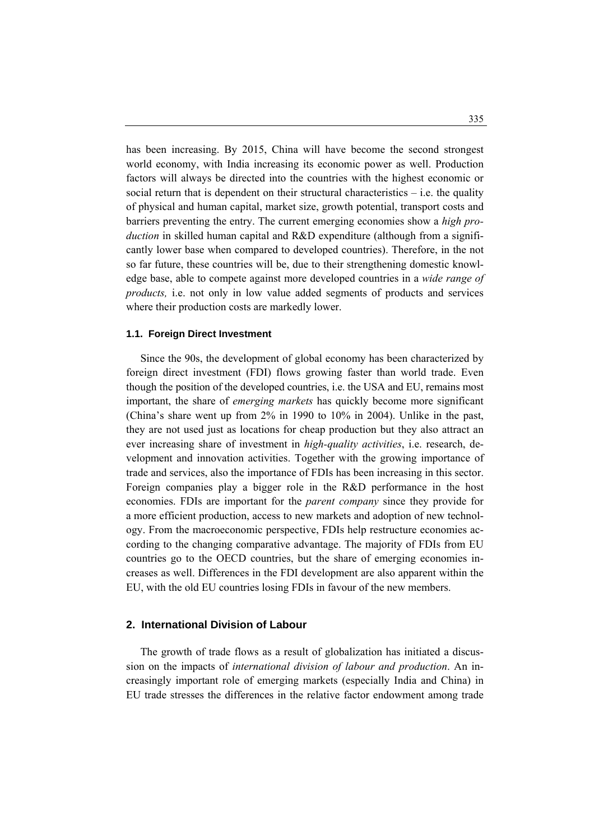has been increasing. By 2015, China will have become the second strongest world economy, with India increasing its economic power as well. Production factors will always be directed into the countries with the highest economic or social return that is dependent on their structural characteristics  $-$  i.e. the quality of physical and human capital, market size, growth potential, transport costs and barriers preventing the entry. The current emerging economies show a *high production* in skilled human capital and R&D expenditure (although from a significantly lower base when compared to developed countries). Therefore, in the not so far future, these countries will be, due to their strengthening domestic knowledge base, able to compete against more developed countries in a *wide range of products,* i.e. not only in low value added segments of products and services where their production costs are markedly lower.

### **1.1. Foreign Direct Investment**

 Since the 90s, the development of global economy has been characterized by foreign direct investment (FDI) flows growing faster than world trade. Even though the position of the developed countries, i.e. the USA and EU, remains most important, the share of *emerging markets* has quickly become more significant (China's share went up from 2% in 1990 to 10% in 2004). Unlike in the past, they are not used just as locations for cheap production but they also attract an ever increasing share of investment in *high-quality activities*, i.e. research, development and innovation activities. Together with the growing importance of trade and services, also the importance of FDIs has been increasing in this sector. Foreign companies play a bigger role in the R&D performance in the host economies. FDIs are important for the *parent company* since they provide for a more efficient production, access to new markets and adoption of new technology. From the macroeconomic perspective, FDIs help restructure economies according to the changing comparative advantage. The majority of FDIs from EU countries go to the OECD countries, but the share of emerging economies increases as well. Differences in the FDI development are also apparent within the EU, with the old EU countries losing FDIs in favour of the new members.

#### **2. International Division of Labour**

 The growth of trade flows as a result of globalization has initiated a discussion on the impacts of *international division of labour and production*. An increasingly important role of emerging markets (especially India and China) in EU trade stresses the differences in the relative factor endowment among trade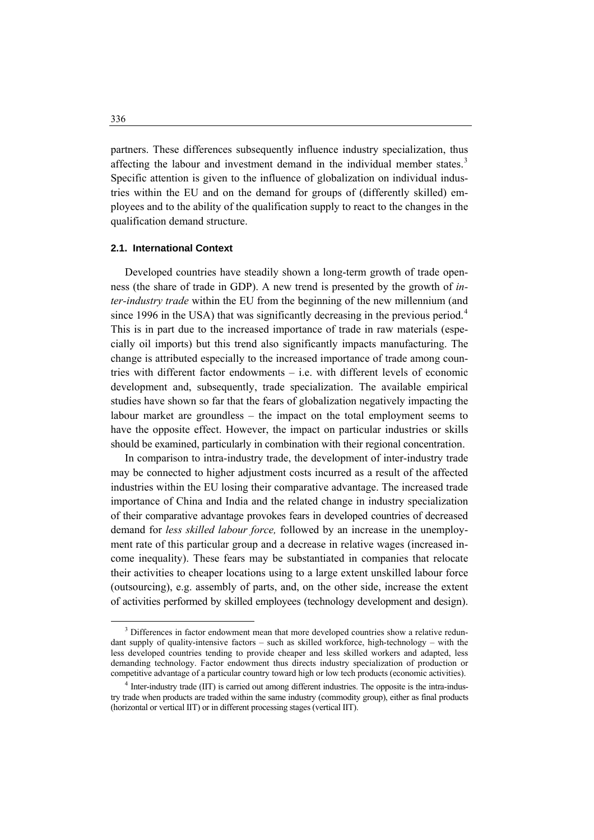partners. These differences subsequently influence industry specialization, thus affecting the labour and investment demand in the individual member states.<sup>[3](#page-3-0)</sup> Specific attention is given to the influence of globalization on individual industries within the EU and on the demand for groups of (differently skilled) employees and to the ability of the qualification supply to react to the changes in the qualification demand structure.

# **2.1. International Context**

 Developed countries have steadily shown a long-term growth of trade openness (the share of trade in GDP). A new trend is presented by the growth of *inter-industry trade* within the EU from the beginning of the new millennium (and since 1996 in the USA) that was significantly decreasing in the previous period.<sup>[4](#page-3-1)</sup> This is in part due to the increased importance of trade in raw materials (especially oil imports) but this trend also significantly impacts manufacturing. The change is attributed especially to the increased importance of trade among countries with different factor endowments – i.e. with different levels of economic development and, subsequently, trade specialization. The available empirical studies have shown so far that the fears of globalization negatively impacting the labour market are groundless – the impact on the total employment seems to have the opposite effect. However, the impact on particular industries or skills should be examined, particularly in combination with their regional concentration.

 In comparison to intra-industry trade, the development of inter-industry trade may be connected to higher adjustment costs incurred as a result of the affected industries within the EU losing their comparative advantage. The increased trade importance of China and India and the related change in industry specialization of their comparative advantage provokes fears in developed countries of decreased demand for *less skilled labour force,* followed by an increase in the unemployment rate of this particular group and a decrease in relative wages (increased income inequality). These fears may be substantiated in companies that relocate their activities to cheaper locations using to a large extent unskilled labour force (outsourcing), e.g. assembly of parts, and, on the other side, increase the extent of activities performed by skilled employees (technology development and design).

<span id="page-3-0"></span> $\frac{1}{3}$ <sup>3</sup> Differences in factor endowment mean that more developed countries show a relative redundant supply of quality-intensive factors – such as skilled workforce, high-technology – with the less developed countries tending to provide cheaper and less skilled workers and adapted, less demanding technology. Factor endowment thus directs industry specialization of production or competitive advantage of a particular country toward high or low tech products (economic activities).

<span id="page-3-1"></span><sup>&</sup>lt;sup>4</sup> Inter-industry trade (IIT) is carried out among different industries. The opposite is the intra-industry trade when products are traded within the same industry (commodity group), either as final products (horizontal or vertical IIT) or in different processing stages (vertical IIT).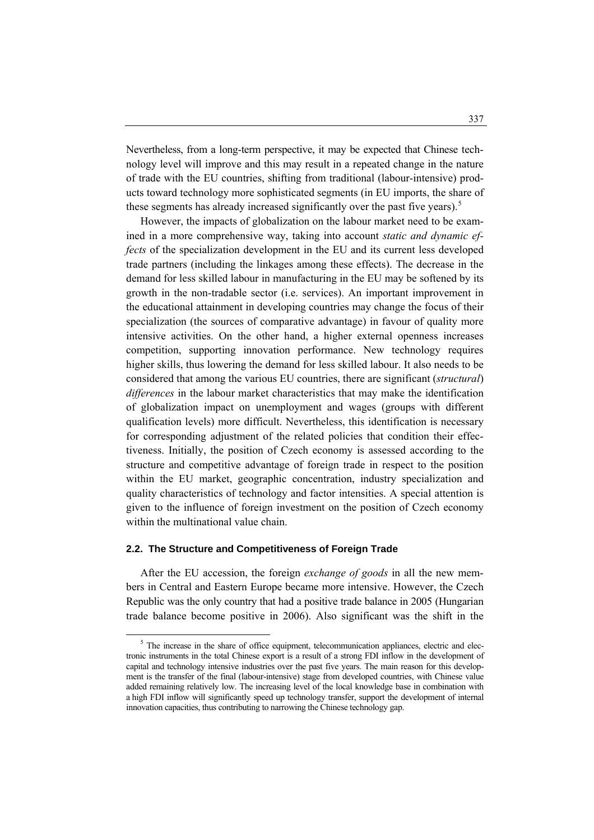Nevertheless, from a long-term perspective, it may be expected that Chinese technology level will improve and this may result in a repeated change in the nature of trade with the EU countries, shifting from traditional (labour-intensive) products toward technology more sophisticated segments (in EU imports, the share of these segments has already increased significantly over the past five years).<sup>[5](#page-4-0)</sup>

 However, the impacts of globalization on the labour market need to be examined in a more comprehensive way, taking into account *static and dynamic effects* of the specialization development in the EU and its current less developed trade partners (including the linkages among these effects). The decrease in the demand for less skilled labour in manufacturing in the EU may be softened by its growth in the non-tradable sector (i.e. services). An important improvement in the educational attainment in developing countries may change the focus of their specialization (the sources of comparative advantage) in favour of quality more intensive activities. On the other hand, a higher external openness increases competition, supporting innovation performance. New technology requires higher skills, thus lowering the demand for less skilled labour. It also needs to be considered that among the various EU countries, there are significant (*structural*) *differences* in the labour market characteristics that may make the identification of globalization impact on unemployment and wages (groups with different qualification levels) more difficult. Nevertheless, this identification is necessary for corresponding adjustment of the related policies that condition their effectiveness. Initially, the position of Czech economy is assessed according to the structure and competitive advantage of foreign trade in respect to the position within the EU market, geographic concentration, industry specialization and quality characteristics of technology and factor intensities. A special attention is given to the influence of foreign investment on the position of Czech economy within the multinational value chain.

#### **2.2. The Structure and Competitiveness of Foreign Trade**

 After the EU accession, the foreign *exchange of goods* in all the new members in Central and Eastern Europe became more intensive. However, the Czech Republic was the only country that had a positive trade balance in 2005 (Hungarian trade balance become positive in 2006). Also significant was the shift in the

<span id="page-4-0"></span> $\frac{1}{5}$  $5$  The increase in the share of office equipment, telecommunication appliances, electric and electronic instruments in the total Chinese export is a result of a strong FDI inflow in the development of capital and technology intensive industries over the past five years. The main reason for this development is the transfer of the final (labour-intensive) stage from developed countries, with Chinese value added remaining relatively low. The increasing level of the local knowledge base in combination with a high FDI inflow will significantly speed up technology transfer, support the development of internal innovation capacities, thus contributing to narrowing the Chinese technology gap.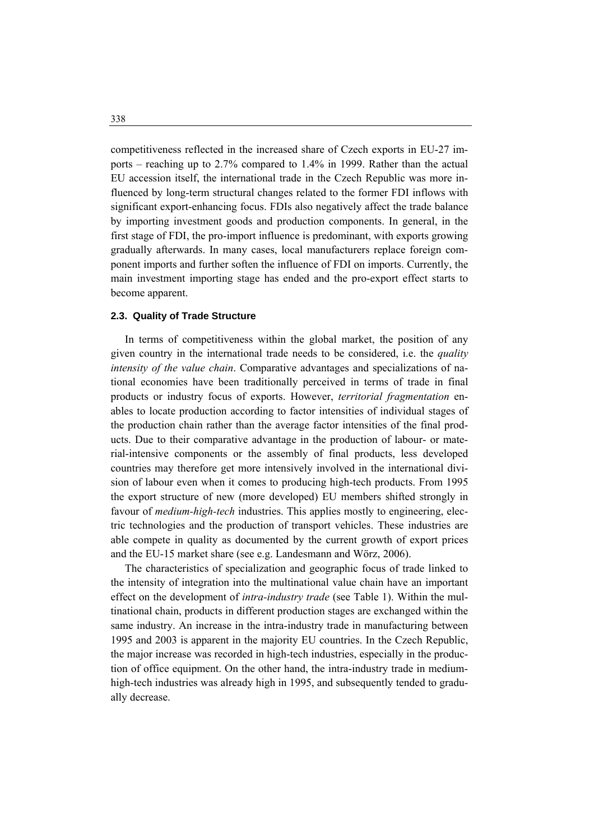competitiveness reflected in the increased share of Czech exports in EU-27 imports – reaching up to 2.7% compared to 1.4% in 1999. Rather than the actual EU accession itself, the international trade in the Czech Republic was more influenced by long-term structural changes related to the former FDI inflows with significant export-enhancing focus. FDIs also negatively affect the trade balance by importing investment goods and production components. In general, in the first stage of FDI, the pro-import influence is predominant, with exports growing gradually afterwards. In many cases, local manufacturers replace foreign component imports and further soften the influence of FDI on imports. Currently, the main investment importing stage has ended and the pro-export effect starts to become apparent.

#### **2.3. Quality of Trade Structure**

 In terms of competitiveness within the global market, the position of any given country in the international trade needs to be considered, i.e. the *quality intensity of the value chain*. Comparative advantages and specializations of national economies have been traditionally perceived in terms of trade in final products or industry focus of exports. However, *territorial fragmentation* enables to locate production according to factor intensities of individual stages of the production chain rather than the average factor intensities of the final products. Due to their comparative advantage in the production of labour- or material-intensive components or the assembly of final products, less developed countries may therefore get more intensively involved in the international division of labour even when it comes to producing high-tech products. From 1995 the export structure of new (more developed) EU members shifted strongly in favour of *medium-high-tech* industries. This applies mostly to engineering, electric technologies and the production of transport vehicles. These industries are able compete in quality as documented by the current growth of export prices and the EU-15 market share (see e.g. Landesmann and Wörz, 2006).

 The characteristics of specialization and geographic focus of trade linked to the intensity of integration into the multinational value chain have an important effect on the development of *intra-industry trade* (see Table 1). Within the multinational chain, products in different production stages are exchanged within the same industry. An increase in the intra-industry trade in manufacturing between 1995 and 2003 is apparent in the majority EU countries. In the Czech Republic, the major increase was recorded in high-tech industries, especially in the production of office equipment. On the other hand, the intra-industry trade in mediumhigh-tech industries was already high in 1995, and subsequently tended to gradually decrease.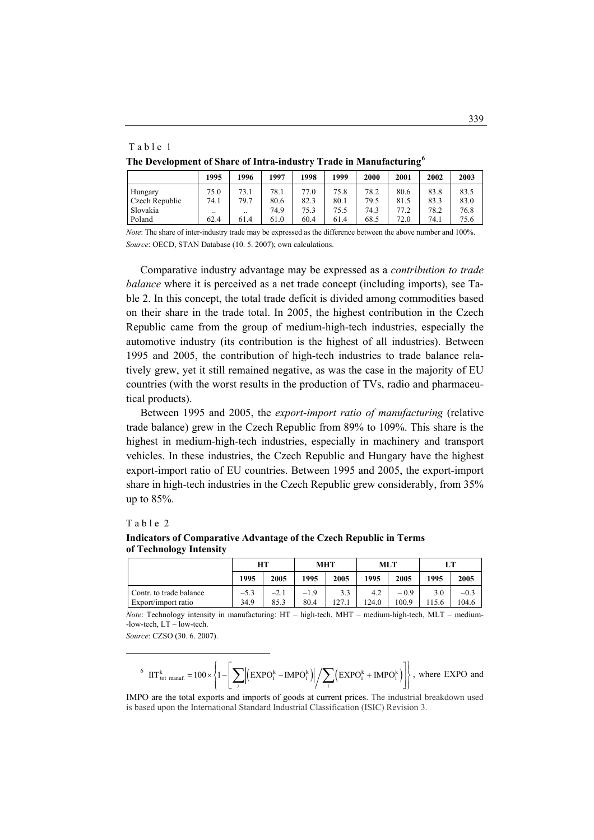#### Table 1

**The Development of Share of Intra-industry Trade in Manufacturing[6](#page-6-0)**

|                | 1995 | 1996                 | 1997 | 1998 | 1999 | 2000 | 2001 | 2002 | 2003 |
|----------------|------|----------------------|------|------|------|------|------|------|------|
| Hungary        | 75.0 | 73.1                 | 78.1 | 77.0 | 75.8 | 78.2 | 80.6 | 83.8 | 83.5 |
| Czech Republic | 74.1 | 79.7                 | 80.6 | 82.3 | 80.1 | 79.5 | 81.5 | 83.3 | 83.0 |
| Slovakia       |      | $\ddot{\phantom{0}}$ | 74.9 | 75.3 | 75.5 | 74.3 | 77.2 | 78.2 | 76.8 |
| Poland         | 62.4 | 61.4                 | 61.0 | 60.4 | 61.4 | 68.5 | 72.0 | 74.1 | 75.6 |

*Note*: The share of inter-industry trade may be expressed as the difference between the above number and 100%. *Source*: OECD, STAN Database (10. 5. 2007); own calculations.

 Comparative industry advantage may be expressed as a *contribution to trade balance* where it is perceived as a net trade concept (including imports), see Table 2. In this concept, the total trade deficit is divided among commodities based on their share in the trade total. In 2005, the highest contribution in the Czech Republic came from the group of medium-high-tech industries, especially the automotive industry (its contribution is the highest of all industries). Between 1995 and 2005, the contribution of high-tech industries to trade balance relatively grew, yet it still remained negative, as was the case in the majority of EU countries (with the worst results in the production of TVs, radio and pharmaceutical products).

 Between 1995 and 2005, the *export-import ratio of manufacturing* (relative trade balance) grew in the Czech Republic from 89% to 109%. This share is the highest in medium-high-tech industries, especially in machinery and transport vehicles. In these industries, the Czech Republic and Hungary have the highest export-import ratio of EU countries. Between 1995 and 2005, the export-import share in high-tech industries in the Czech Republic grew considerably, from 35% up to 85%.

#### Table 2

<span id="page-6-0"></span> $\overline{a}$ 

**Indicators of Comparative Advantage of the Czech Republic in Terms of Technology Intensity** 

|                                                | HТ             |                | MHT            |              | MLT         |                 |             |                 |
|------------------------------------------------|----------------|----------------|----------------|--------------|-------------|-----------------|-------------|-----------------|
|                                                | 1995           | 2005           | 1995           | 2005         | 1995        | 2005            | 1995        | 2005            |
| Contr. to trade balance<br>Export/import ratio | $-5.3$<br>34.9 | $-2.1$<br>85.3 | $-1.9$<br>80.4 | 3.3<br>127.1 | 4.2<br>24.0 | $-0.9$<br>100.9 | 3.0<br>15.6 | $-0.3$<br>104.6 |

*Note*: Technology intensity in manufacturing: HT – high-tech, MHT – medium-high-tech, MLT – medium- -low-tech, LT – low-tech.

*Source*: CZSO (30. 6. 2007).

$$
^{6} \ \ \text{IIT}_{\ \text{tot } \text{manuf.}}^{k} = 100 \times \left\{1 - \left[\sum_{i} \left\lvert \left(\text{EXPO}_{i}^{k} - \text{IMPO}_{i}^{k}\right) \right\rvert \middle/ \sum_{i} \left(\text{EXPO}_{i}^{k} + \text{IMPO}_{i}^{k}\right) \right] \right\}, \ \text{where } \ \text{EXPO and}
$$

IMPO are the total exports and imports of goods at current prices. The industrial breakdown used is based upon the International Standard Industrial Classification (ISIC) Revision 3.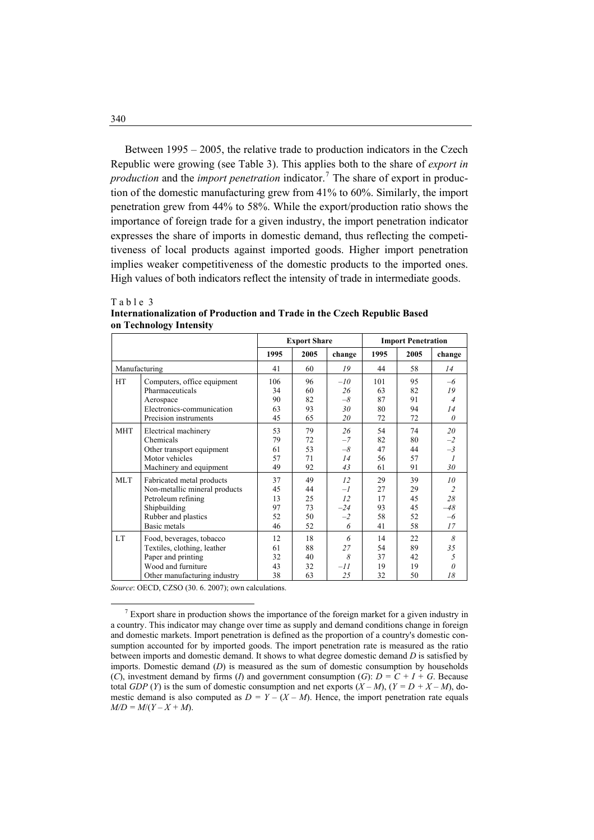Between 1995 – 2005, the relative trade to production indicators in the Czech Republic were growing (see Table 3). This applies both to the share of *export in production* and the *import penetration* indicator.<sup>[7](#page-7-0)</sup> The share of export in production of the domestic manufacturing grew from 41% to 60%. Similarly, the import penetration grew from 44% to 58%. While the export/production ratio shows the importance of foreign trade for a given industry, the import penetration indicator expresses the share of imports in domestic demand, thus reflecting the competitiveness of local products against imported goods. Higher import penetration implies weaker competitiveness of the domestic products to the imported ones. High values of both indicators reflect the intensity of trade in intermediate goods.

|            |                                                                                                                                         | <b>Export Share</b>              |                                  |                                        | <b>Import Penetration</b>        |                                  |                                                |  |
|------------|-----------------------------------------------------------------------------------------------------------------------------------------|----------------------------------|----------------------------------|----------------------------------------|----------------------------------|----------------------------------|------------------------------------------------|--|
|            |                                                                                                                                         | 1995                             | 2005                             | change                                 | 1995                             | 2005                             | change                                         |  |
|            | Manufacturing                                                                                                                           | 41                               | 60                               | 19                                     | 44                               | 58                               | 14                                             |  |
| HT         | Computers, office equipment<br>Pharmaceuticals<br>Aerospace<br>Electronics-communication<br>Precision instruments                       | 106<br>34<br>90<br>63<br>45      | 96<br>60<br>82<br>93<br>65       | $-l$ 0<br>26<br>$-\delta$<br>30<br>20  | 101<br>63<br>87<br>80<br>72      | 95<br>82<br>91<br>94<br>72       | $-6$<br>19<br>$\overline{4}$<br>14<br>$\theta$ |  |
| <b>MHT</b> | Electrical machinery<br>Chemicals<br>Other transport equipment<br>Motor vehicles<br>Machinery and equipment                             | 53<br>79<br>61<br>57<br>49       | 79<br>72<br>53<br>71<br>92       | 26<br>$-7$<br>$-8$<br>14<br>43         | 54<br>82<br>47<br>56<br>61       | 74<br>80<br>44<br>57<br>91       | 20<br>$-2$<br>$-3$<br>1<br>30                  |  |
| <b>MLT</b> | Fabricated metal products<br>Non-metallic mineral products<br>Petroleum refining<br>Shipbuilding<br>Rubber and plastics<br>Basic metals | 37<br>45<br>13<br>97<br>52<br>46 | 49<br>44<br>25<br>73<br>50<br>52 | 12<br>$-l$<br>12<br>$-24$<br>$-2$<br>6 | 29<br>27<br>17<br>93<br>58<br>41 | 39<br>29<br>45<br>45<br>52<br>58 | 10<br>28<br>-48<br>$-6$<br>17                  |  |
| <b>LT</b>  | Food, beverages, tobacco<br>Textiles, clothing, leather<br>Paper and printing<br>Wood and furniture<br>Other manufacturing industry     | 12<br>61<br>32<br>43<br>38       | 18<br>88<br>40<br>32<br>63       | 6<br>27<br>8<br>$-II$<br>25            | 14<br>54<br>37<br>19<br>32       | 22<br>89<br>42<br>19<br>50       | 8<br>35<br>5<br>O<br>18                        |  |

**Internationalization of Production and Trade in the Czech Republic Based on Technology Intensity** 

*Source*: OECD, CZSO (30. 6. 2007); own calculations.

Table 3

<span id="page-7-0"></span> $\frac{1}{7}$  $\frac{7}{1}$  Export share in production shows the importance of the foreign market for a given industry in a country. This indicator may change over time as supply and demand conditions change in foreign and domestic markets. Import penetration is defined as the proportion of a country's domestic consumption accounted for by imported goods. The import penetration rate is measured as the ratio between imports and domestic demand. It shows to what degree domestic demand *D* is satisfied by imports. Domestic demand (*D*) is measured as the sum of domestic consumption by households (*C*), investment demand by firms (*I*) and government consumption (*G*):  $D = C + I + G$ . Because total *GDP* (*Y*) is the sum of domestic consumption and net exports  $(X - M)$ ,  $(Y = D + X - M)$ , domestic demand is also computed as  $D = Y - (X - M)$ . Hence, the import penetration rate equals  $M/D = M/(Y - X + M).$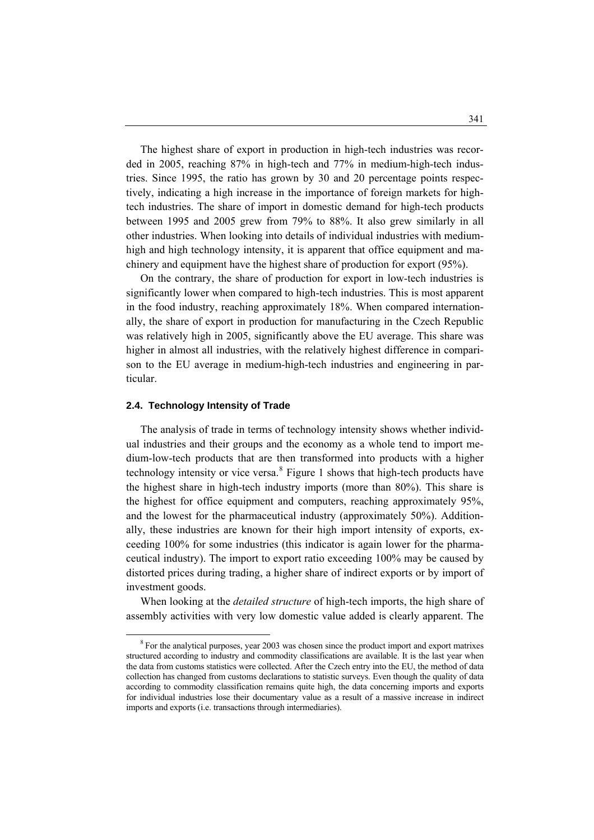The highest share of export in production in high-tech industries was recorded in 2005, reaching 87% in high-tech and 77% in medium-high-tech industries. Since 1995, the ratio has grown by 30 and 20 percentage points respectively, indicating a high increase in the importance of foreign markets for hightech industries. The share of import in domestic demand for high-tech products between 1995 and 2005 grew from 79% to 88%. It also grew similarly in all other industries. When looking into details of individual industries with mediumhigh and high technology intensity, it is apparent that office equipment and machinery and equipment have the highest share of production for export (95%).

 On the contrary, the share of production for export in low-tech industries is significantly lower when compared to high-tech industries. This is most apparent in the food industry, reaching approximately 18%. When compared internationally, the share of export in production for manufacturing in the Czech Republic was relatively high in 2005, significantly above the EU average. This share was higher in almost all industries, with the relatively highest difference in comparison to the EU average in medium-high-tech industries and engineering in particular.

# **2.4. Technology Intensity of Trade**

 $\overline{a}$ 

 The analysis of trade in terms of technology intensity shows whether individual industries and their groups and the economy as a whole tend to import medium-low-tech products that are then transformed into products with a higher technology intensity or vice versa.<sup>[8](#page-8-0)</sup> Figure 1 shows that high-tech products have the highest share in high-tech industry imports (more than 80%). This share is the highest for office equipment and computers, reaching approximately 95%, and the lowest for the pharmaceutical industry (approximately 50%). Additionally, these industries are known for their high import intensity of exports, exceeding 100% for some industries (this indicator is again lower for the pharmaceutical industry). The import to export ratio exceeding 100% may be caused by distorted prices during trading, a higher share of indirect exports or by import of investment goods.

 When looking at the *detailed structure* of high-tech imports, the high share of assembly activities with very low domestic value added is clearly apparent. The

<span id="page-8-0"></span><sup>&</sup>lt;sup>8</sup> For the analytical purposes, year 2003 was chosen since the product import and export matrixes structured according to industry and commodity classifications are available. It is the last year when the data from customs statistics were collected. After the Czech entry into the EU, the method of data collection has changed from customs declarations to statistic surveys. Even though the quality of data according to commodity classification remains quite high, the data concerning imports and exports for individual industries lose their documentary value as a result of a massive increase in indirect imports and exports (i.e. transactions through intermediaries).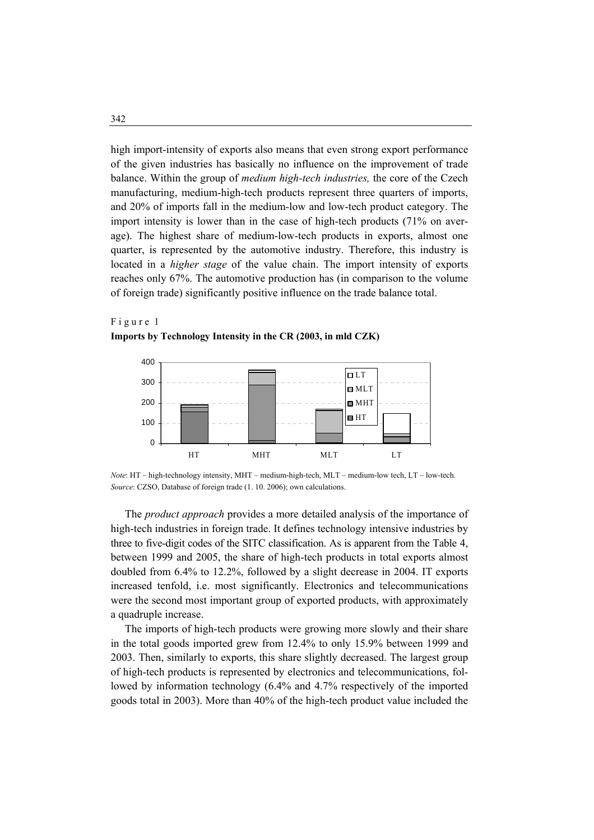high import-intensity of exports also means that even strong export performance of the given industries has basically no influence on the improvement of trade balance. Within the group of *medium high-tech industries,* the core of the Czech manufacturing, medium-high-tech products represent three quarters of imports, and 20% of imports fall in the medium-low and low-tech product category. The import intensity is lower than in the case of high-tech products (71% on average). The highest share of medium-low-tech products in exports, almost one quarter, is represented by the automotive industry. Therefore, this industry is located in a *higher stage* of the value chain. The import intensity of exports reaches only 67%. The automotive production has (in comparison to the volume of foreign trade) significantly positive influence on the trade balance total.

# F i g u r e 1 **Imports by Technology Intensity in the CR (2003, in mld CZK)**



*Note*: HT – high-technology intensity, MHT – medium-high-tech, MLT – medium-low tech, LT – low-tech. *Source*: CZSO, Database of foreign trade (1. 10. 2006); own calculations.

 The *product approach* provides a more detailed analysis of the importance of high-tech industries in foreign trade. It defines technology intensive industries by three to five-digit codes of the SITC classification. As is apparent from the Table 4, between 1999 and 2005, the share of high-tech products in total exports almost doubled from 6.4% to 12.2%, followed by a slight decrease in 2004. IT exports increased tenfold, i.e. most significantly. Electronics and telecommunications were the second most important group of exported products, with approximately a quadruple increase.

 The imports of high-tech products were growing more slowly and their share in the total goods imported grew from 12.4% to only 15.9% between 1999 and 2003. Then, similarly to exports, this share slightly decreased. The largest group of high-tech products is represented by electronics and telecommunications, followed by information technology (6.4% and 4.7% respectively of the imported goods total in 2003). More than 40% of the high-tech product value included the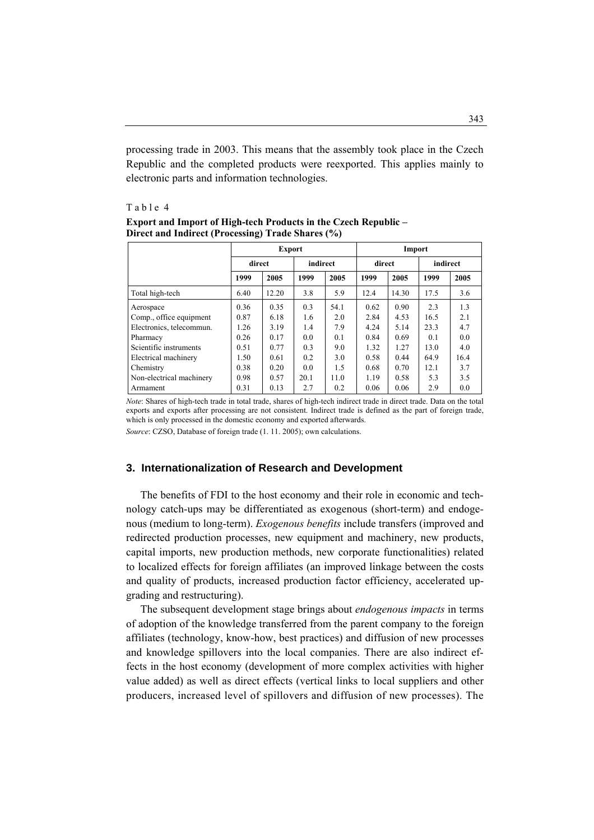processing trade in 2003. This means that the assembly took place in the Czech Republic and the completed products were reexported. This applies mainly to electronic parts and information technologies.

#### Table 4

|                          | <b>Export</b> |              |      |          | Import |        |      |          |  |
|--------------------------|---------------|--------------|------|----------|--------|--------|------|----------|--|
|                          |               | direct       |      | indirect |        | direct |      | indirect |  |
|                          | 1999          | 2005<br>1999 |      | 2005     | 1999   | 2005   | 1999 | 2005     |  |
| Total high-tech          | 6.40          | 12.20        | 3.8  | 5.9      | 12.4   | 14.30  | 17.5 | 3.6      |  |
| Aerospace                | 0.36          | 0.35         | 0.3  | 54.1     | 0.62   | 0.90   | 2.3  | 1.3      |  |
| Comp., office equipment  | 0.87          | 6.18         | 1.6  | 2.0      | 2.84   | 4.53   | 16.5 | 2.1      |  |
| Electronics, telecommun. | 1.26          | 3.19         | 1.4  | 7.9      | 4.24   | 5.14   | 23.3 | 4.7      |  |
| Pharmacy                 | 0.26          | 0.17         | 0.0  | 0.1      | 0.84   | 0.69   | 0.1  | 0.0      |  |
| Scientific instruments   | 0.51          | 0.77         | 0.3  | 9.0      | 1.32   | 1.27   | 13.0 | 4.0      |  |
| Electrical machinery     | 1.50          | 0.61         | 0.2  | 3.0      | 0.58   | 0.44   | 64.9 | 16.4     |  |
| Chemistry                | 0.38          | 0.20         | 0.0  | 1.5      | 0.68   | 0.70   | 12.1 | 3.7      |  |
| Non-electrical machinery | 0.98          | 0.57         | 20.1 | 11.0     | 1.19   | 0.58   | 5.3  | 3.5      |  |
| Armament                 | 0.31          | 0.13         | 2.7  | 0.2      | 0.06   | 0.06   | 2.9  | 0.0      |  |

**Export and Import of High-tech Products in the Czech Republic – Direct and Indirect (Processing) Trade Shares (%)**

*Note*: Shares of high-tech trade in total trade, shares of high-tech indirect trade in direct trade. Data on the total exports and exports after processing are not consistent. Indirect trade is defined as the part of foreign trade, which is only processed in the domestic economy and exported afterwards. *Source*: CZSO, Database of foreign trade (1. 11. 2005); own calculations.

## **3. Internationalization of Research and Development**

 The benefits of FDI to the host economy and their role in economic and technology catch-ups may be differentiated as exogenous (short-term) and endogenous (medium to long-term). *Exogenous benefits* include transfers (improved and redirected production processes, new equipment and machinery, new products, capital imports, new production methods, new corporate functionalities) related to localized effects for foreign affiliates (an improved linkage between the costs and quality of products, increased production factor efficiency, accelerated upgrading and restructuring).

 The subsequent development stage brings about *endogenous impacts* in terms of adoption of the knowledge transferred from the parent company to the foreign affiliates (technology, know-how, best practices) and diffusion of new processes and knowledge spillovers into the local companies. There are also indirect effects in the host economy (development of more complex activities with higher value added) as well as direct effects (vertical links to local suppliers and other producers, increased level of spillovers and diffusion of new processes). The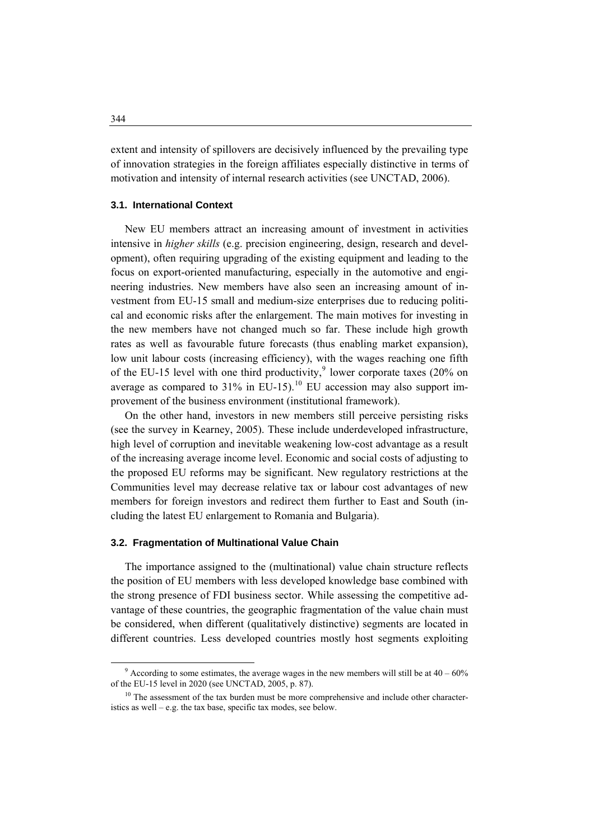extent and intensity of spillovers are decisively influenced by the prevailing type of innovation strategies in the foreign affiliates especially distinctive in terms of motivation and intensity of internal research activities (see UNCTAD, 2006).

### **3.1. International Context**

 New EU members attract an increasing amount of investment in activities intensive in *higher skills* (e.g. precision engineering, design, research and development), often requiring upgrading of the existing equipment and leading to the focus on export-oriented manufacturing, especially in the automotive and engineering industries. New members have also seen an increasing amount of investment from EU-15 small and medium-size enterprises due to reducing political and economic risks after the enlargement. The main motives for investing in the new members have not changed much so far. These include high growth rates as well as favourable future forecasts (thus enabling market expansion), low unit labour costs (increasing efficiency), with the wages reaching one fifth of the EU-15 level with one third productivity,<sup>[9](#page-11-0)</sup> lower corporate taxes (20% on average as compared to  $31\%$  in EU-15).<sup>[10](#page-11-1)</sup> EU accession may also support improvement of the business environment (institutional framework).

 On the other hand, investors in new members still perceive persisting risks (see the survey in Kearney, 2005). These include underdeveloped infrastructure, high level of corruption and inevitable weakening low-cost advantage as a result of the increasing average income level. Economic and social costs of adjusting to the proposed EU reforms may be significant. New regulatory restrictions at the Communities level may decrease relative tax or labour cost advantages of new members for foreign investors and redirect them further to East and South (including the latest EU enlargement to Romania and Bulgaria).

#### **3.2. Fragmentation of Multinational Value Chain**

 The importance assigned to the (multinational) value chain structure reflects the position of EU members with less developed knowledge base combined with the strong presence of FDI business sector. While assessing the competitive advantage of these countries, the geographic fragmentation of the value chain must be considered, when different (qualitatively distinctive) segments are located in different countries. Less developed countries mostly host segments exploiting

<span id="page-11-0"></span> $\frac{1}{9}$  $9$  According to some estimates, the average wages in the new members will still be at  $40 - 60\%$ of the EU-15 level in 2020 (see UNCTAD, 2005, p. 87).

<span id="page-11-1"></span> $10$  The assessment of the tax burden must be more comprehensive and include other characteristics as well – e.g. the tax base, specific tax modes, see below.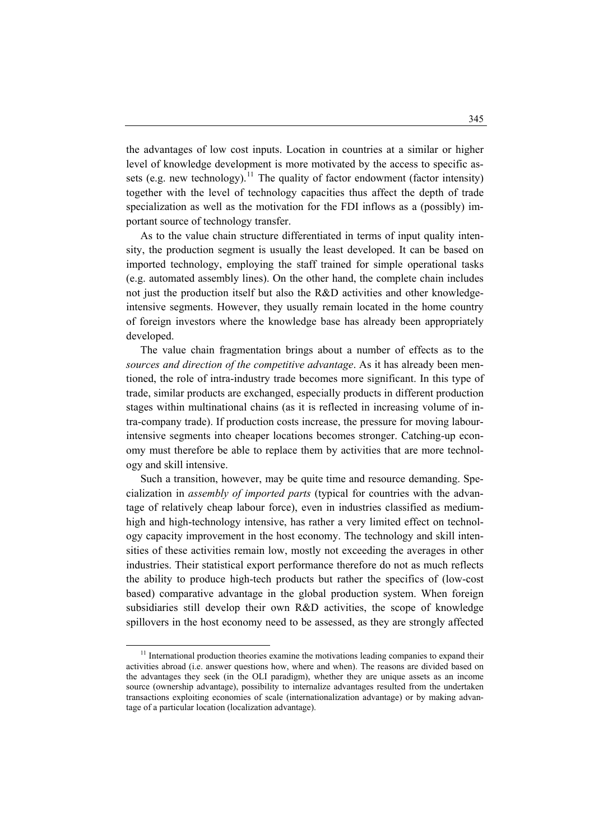the advantages of low cost inputs. Location in countries at a similar or higher level of knowledge development is more motivated by the access to specific as-sets (e.g. new technology).<sup>[11](#page-12-0)</sup> The quality of factor endowment (factor intensity) together with the level of technology capacities thus affect the depth of trade specialization as well as the motivation for the FDI inflows as a (possibly) important source of technology transfer.

 As to the value chain structure differentiated in terms of input quality intensity, the production segment is usually the least developed. It can be based on imported technology, employing the staff trained for simple operational tasks (e.g. automated assembly lines). On the other hand, the complete chain includes not just the production itself but also the R&D activities and other knowledgeintensive segments. However, they usually remain located in the home country of foreign investors where the knowledge base has already been appropriately developed.

 The value chain fragmentation brings about a number of effects as to the *sources and direction of the competitive advantage*. As it has already been mentioned, the role of intra-industry trade becomes more significant. In this type of trade, similar products are exchanged, especially products in different production stages within multinational chains (as it is reflected in increasing volume of intra-company trade). If production costs increase, the pressure for moving labourintensive segments into cheaper locations becomes stronger. Catching-up economy must therefore be able to replace them by activities that are more technology and skill intensive.

 Such a transition, however, may be quite time and resource demanding. Specialization in *assembly of imported parts* (typical for countries with the advantage of relatively cheap labour force), even in industries classified as mediumhigh and high-technology intensive, has rather a very limited effect on technology capacity improvement in the host economy. The technology and skill intensities of these activities remain low, mostly not exceeding the averages in other industries. Their statistical export performance therefore do not as much reflects the ability to produce high-tech products but rather the specifics of (low-cost based) comparative advantage in the global production system. When foreign subsidiaries still develop their own R&D activities, the scope of knowledge spillovers in the host economy need to be assessed, as they are strongly affected

<span id="page-12-0"></span> $11$  International production theories examine the motivations leading companies to expand their activities abroad (i.e. answer questions how, where and when). The reasons are divided based on the advantages they seek (in the OLI paradigm), whether they are unique assets as an income source (ownership advantage), possibility to internalize advantages resulted from the undertaken transactions exploiting economies of scale (internationalization advantage) or by making advantage of a particular location (localization advantage).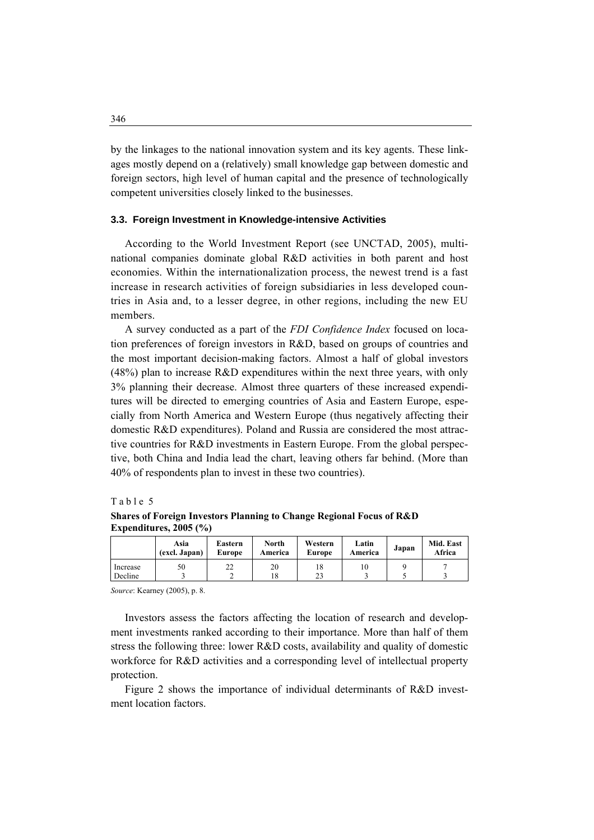by the linkages to the national innovation system and its key agents. These linkages mostly depend on a (relatively) small knowledge gap between domestic and foreign sectors, high level of human capital and the presence of technologically competent universities closely linked to the businesses.

### **3.3. Foreign Investment in Knowledge-intensive Activities**

 According to the World Investment Report (see UNCTAD, 2005), multinational companies dominate global R&D activities in both parent and host economies. Within the internationalization process, the newest trend is a fast increase in research activities of foreign subsidiaries in less developed countries in Asia and, to a lesser degree, in other regions, including the new EU members.

 A survey conducted as a part of the *FDI Confidence Index* focused on location preferences of foreign investors in R&D, based on groups of countries and the most important decision-making factors. Almost a half of global investors (48%) plan to increase R&D expenditures within the next three years, with only 3% planning their decrease. Almost three quarters of these increased expenditures will be directed to emerging countries of Asia and Eastern Europe, especially from North America and Western Europe (thus negatively affecting their domestic R&D expenditures). Poland and Russia are considered the most attractive countries for R&D investments in Eastern Europe. From the global perspective, both China and India lead the chart, leaving others far behind. (More than 40% of respondents plan to invest in these two countries).

## Table 5

**Shares of Foreign Investors Planning to Change Regional Focus of R&D Expenditures, 2005 (%)** 

|          | Asia<br>(excl. Japan) | Eastern<br>Europe | North<br>America | Western<br><b>Europe</b> | Latin<br>America | Japan | Mid. East<br>Africa |
|----------|-----------------------|-------------------|------------------|--------------------------|------------------|-------|---------------------|
| Increase | 50                    | ∠∠                | 20               | 18                       |                  |       |                     |
| Decline  |                       |                   | 18               |                          |                  |       |                     |

*Source*: Kearney (2005), p. 8.

 Investors assess the factors affecting the location of research and development investments ranked according to their importance. More than half of them stress the following three: lower R&D costs, availability and quality of domestic workforce for R&D activities and a corresponding level of intellectual property protection.

 Figure 2 shows the importance of individual determinants of R&D investment location factors.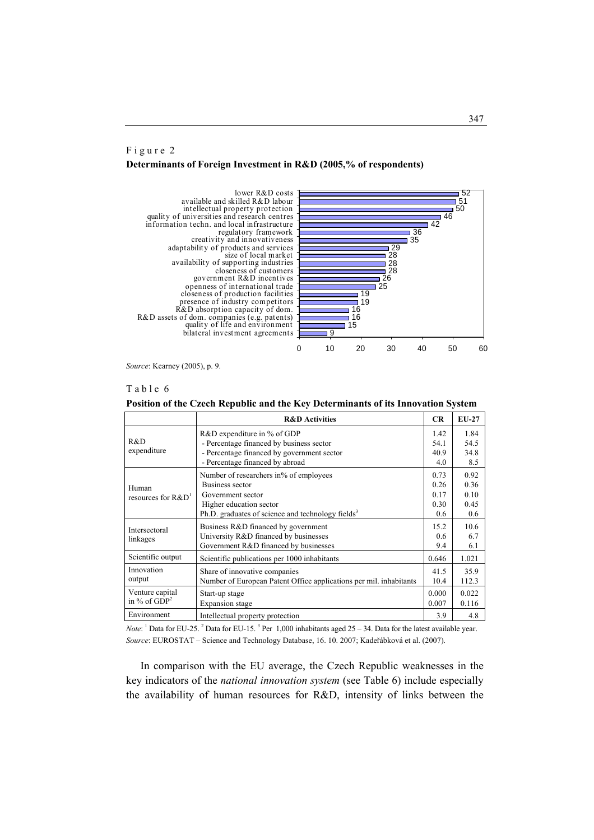# F i g u r e 2 **Determinants of Foreign Investment in R&D (2005,% of respondents)**



*Source*: Kearney (2005), p. 9.

#### Table 6

**Position of the Czech Republic and the Key Determinants of its Innovation System** 

|                                   | <b>R&amp;D</b> Activities                                                                                                                                                  | <b>CR</b>                           | $EU-27$                             |
|-----------------------------------|----------------------------------------------------------------------------------------------------------------------------------------------------------------------------|-------------------------------------|-------------------------------------|
| R&D                               | R&D expenditure in % of GDP<br>- Percentage financed by business sector                                                                                                    | 1.42<br>54.1                        | 1.84<br>54.5                        |
| expenditure                       | - Percentage financed by government sector<br>- Percentage financed by abroad                                                                                              | 40.9<br>4.0                         | 34.8<br>8.5                         |
| Human<br>resources for $R&D1$     | Number of researchers in% of employees<br>Business sector<br>Government sector<br>Higher education sector<br>Ph.D. graduates of science and technology fields <sup>3</sup> | 0.73<br>0.26<br>0.17<br>0.30<br>0.6 | 0.92<br>0.36<br>0.10<br>0.45<br>0.6 |
| Intersectoral<br>linkages         | Business R&D financed by government<br>University R&D financed by businesses<br>Government R&D financed by businesses                                                      | 15.2<br>0.6<br>9.4                  | 10.6<br>6.7<br>6.1                  |
| Scientific output                 | Scientific publications per 1000 inhabitants                                                                                                                               | 0.646                               | 1.021                               |
| Innovation<br>output              | Share of innovative companies<br>Number of European Patent Office applications per mil. inhabitants                                                                        | 41.5<br>10.4                        | 35.9<br>112.3                       |
| Venture capital<br>in % of $GDP2$ | Start-up stage<br>Expansion stage                                                                                                                                          | 0.000<br>0.007                      | 0.022<br>0.116                      |
| Environment                       | Intellectual property protection                                                                                                                                           | 3.9                                 | 4.8                                 |

*Note*: <sup>1</sup> Data for EU-25. <sup>2</sup> Data for EU-15. <sup>3</sup> Per 1,000 inhabitants aged 25 – 34. Data for the latest available year. *Source*: EUROSTAT – Science and Technology Database, 16. 10. 2007; Kadeřábková et al. (2007).

 In comparison with the EU average, the Czech Republic weaknesses in the key indicators of the *national innovation system* (see Table 6) include especially the availability of human resources for R&D, intensity of links between the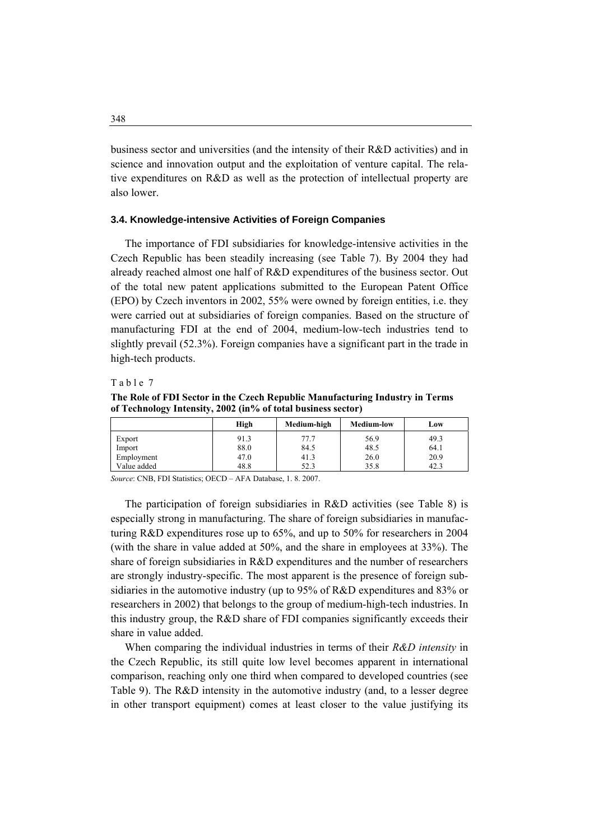business sector and universities (and the intensity of their R&D activities) and in science and innovation output and the exploitation of venture capital. The relative expenditures on R&D as well as the protection of intellectual property are also lower.

#### **3.4. Knowledge-intensive Activities of Foreign Companies**

 The importance of FDI subsidiaries for knowledge-intensive activities in the Czech Republic has been steadily increasing (see Table 7). By 2004 they had already reached almost one half of R&D expenditures of the business sector. Out of the total new patent applications submitted to the European Patent Office (EPO) by Czech inventors in 2002, 55% were owned by foreign entities, i.e. they were carried out at subsidiaries of foreign companies. Based on the structure of manufacturing FDI at the end of 2004, medium-low-tech industries tend to slightly prevail (52.3%). Foreign companies have a significant part in the trade in high-tech products.

#### Table 7

**The Role of FDI Sector in the Czech Republic Manufacturing Industry in Terms of Technology Intensity, 2002 (in% of total business sector)** 

|             | High | Medium-high | <b>Medium-low</b> | Low  |
|-------------|------|-------------|-------------------|------|
| Export      | 91.3 | 77.7        | 56.9              | 49.3 |
| Import      | 88.0 | 84.5        | 48.5              | 64.1 |
| Employment  | 47.0 | 41.3        | 26.0              | 20.9 |
| Value added | 48.8 | 52.3        | 35.8              | 42.3 |

*Source*: CNB, FDI Statistics; OECD – AFA Database, 1. 8. 2007.

 The participation of foreign subsidiaries in R&D activities (see Table 8) is especially strong in manufacturing. The share of foreign subsidiaries in manufacturing R&D expenditures rose up to 65%, and up to 50% for researchers in 2004 (with the share in value added at 50%, and the share in employees at 33%). The share of foreign subsidiaries in R&D expenditures and the number of researchers are strongly industry-specific. The most apparent is the presence of foreign subsidiaries in the automotive industry (up to 95% of R&D expenditures and 83% or researchers in 2002) that belongs to the group of medium-high-tech industries. In this industry group, the R&D share of FDI companies significantly exceeds their share in value added.

 When comparing the individual industries in terms of their *R&D intensity* in the Czech Republic, its still quite low level becomes apparent in international comparison, reaching only one third when compared to developed countries (see Table 9). The R&D intensity in the automotive industry (and, to a lesser degree in other transport equipment) comes at least closer to the value justifying its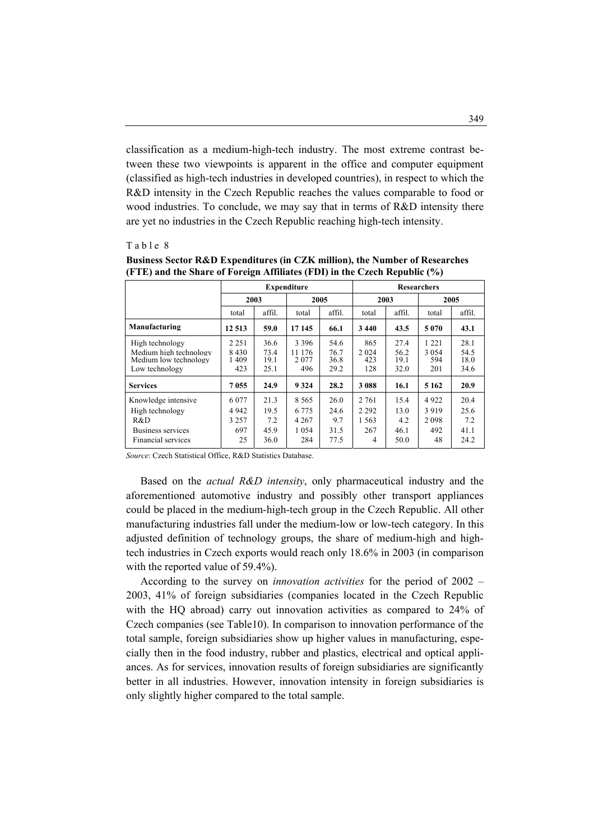classification as a medium-high-tech industry. The most extreme contrast between these two viewpoints is apparent in the office and computer equipment (classified as high-tech industries in developed countries), in respect to which the R&D intensity in the Czech Republic reaches the values comparable to food or wood industries. To conclude, we may say that in terms of R&D intensity there are yet no industries in the Czech Republic reaching high-tech intensity.

#### Table 8

|                                                                                          | <b>Expenditure</b>                         |                                     |                                                 |                                     |                                         |                                     | <b>Researchers</b>                   |                                     |
|------------------------------------------------------------------------------------------|--------------------------------------------|-------------------------------------|-------------------------------------------------|-------------------------------------|-----------------------------------------|-------------------------------------|--------------------------------------|-------------------------------------|
|                                                                                          |                                            | 2003                                |                                                 | 2005                                |                                         | 2003                                |                                      | 2005                                |
|                                                                                          | total                                      | affil.<br>total                     |                                                 | affil.                              | total                                   | affil.                              | total                                | affil.                              |
| Manufacturing<br>12 5 13<br>59.0                                                         |                                            | 17 145                              | 66.1                                            | 3440                                | 43.5                                    | 5070                                | 43.1                                 |                                     |
| High technology<br>Medium high technology<br>Medium low technology<br>Low technology     | 2 2 5 1<br>8430<br>1409<br>423             | 36.6<br>73.4<br>19.1<br>25.1        | 3 3 9 6<br>11 176<br>2077<br>496                | 54.6<br>76.7<br>36.8<br>29.2        | 865<br>2 0 2 4<br>423<br>128            | 27.4<br>56.2<br>19.1<br>32.0        | 1 2 2 1<br>3 0 5 4<br>594<br>201     | 28.1<br>54.5<br>18.0<br>34.6        |
| <b>Services</b>                                                                          | 7055                                       | 24.9                                | 9 3 2 4                                         | 28.2                                | 3 0 8 8                                 | 16.1                                | 5 1 6 2                              | 20.9                                |
| Knowledge intensive<br>High technology<br>R&D<br>Business services<br>Financial services | 6 0 7 7<br>4 9 4 2<br>3 2 5 7<br>697<br>25 | 21.3<br>19.5<br>7.2<br>45.9<br>36.0 | 8 5 6 5<br>6 7 7 5<br>4 2 6 7<br>1 0 5 4<br>284 | 26.0<br>24.6<br>9.7<br>31.5<br>77.5 | 2 7 6 1<br>2 2 9 2<br>1.563<br>267<br>4 | 15.4<br>13.0<br>4.2<br>46.1<br>50.0 | 4922<br>3919<br>2 0 9 8<br>492<br>48 | 20.4<br>25.6<br>7.2<br>41.1<br>24.2 |

**Business Sector R&D Expenditures (in CZK million), the Number of Researches (FTE) and the Share of Foreign Affiliates (FDI) in the Czech Republic (%)** 

*Source*: Czech Statistical Office, R&D Statistics Database.

 Based on the *actual R&D intensity*, only pharmaceutical industry and the aforementioned automotive industry and possibly other transport appliances could be placed in the medium-high-tech group in the Czech Republic. All other manufacturing industries fall under the medium-low or low-tech category. In this adjusted definition of technology groups, the share of medium-high and hightech industries in Czech exports would reach only 18.6% in 2003 (in comparison with the reported value of 59.4%).

 According to the survey on *innovation activities* for the period of 2002 – 2003, 41% of foreign subsidiaries (companies located in the Czech Republic with the HQ abroad) carry out innovation activities as compared to 24% of Czech companies (see Table10). In comparison to innovation performance of the total sample, foreign subsidiaries show up higher values in manufacturing, especially then in the food industry, rubber and plastics, electrical and optical appliances. As for services, innovation results of foreign subsidiaries are significantly better in all industries. However, innovation intensity in foreign subsidiaries is only slightly higher compared to the total sample.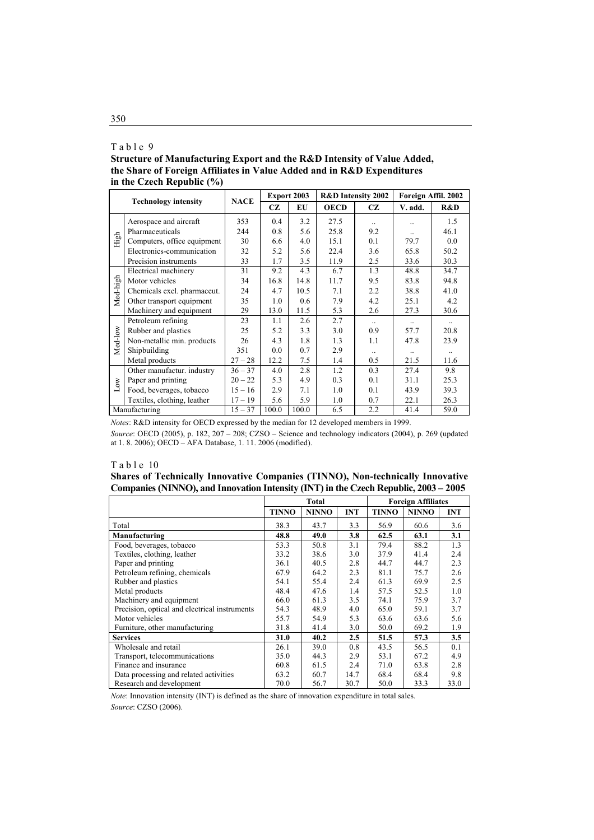## Table 9

**Structure of Manufacturing Export and the R&D Intensity of Value Added, the Share of Foreign Affiliates in Value Added and in R&D Expenditures in the Czech Republic (%)** 

|              | <b>Technology intensity</b> |             |           | <b>Export 2003</b> |             | <b>R&amp;D</b> Intensity 2002 | Foreign Affil. 2002 |           |  |
|--------------|-----------------------------|-------------|-----------|--------------------|-------------|-------------------------------|---------------------|-----------|--|
|              |                             | <b>NACE</b> | <b>CZ</b> | EU                 | <b>OECD</b> | CZ.                           | V. add.             | R&D       |  |
|              | Aerospace and aircraft      | 353         | 0.4       | 3.2                | 27.5        |                               | $\ddotsc$           | 1.5       |  |
|              | Pharmaceuticals             | 244         | 0.8       | 5.6                | 25.8        | 9.2                           | $\ddotsc$           | 46.1      |  |
| High         | Computers, office equipment | 30          | 6.6       | 4.0                | 15.1        | 0.1                           | 79.7                | 0.0       |  |
|              | Electronics-communication   | 32          | 5.2       | 5.6                | 22.4        | 3.6                           | 65.8                | 50.2      |  |
|              | Precision instruments       | 33          | 1.7       | 3.5                | 11.9        | 2.5                           | 33.6                | 30.3      |  |
|              | Electrical machinery        | 31          | 9.2       | 4.3                | 6.7         | 1.3                           | 48.8                | 34.7      |  |
| Med-high     | Motor vehicles              | 34          | 16.8      | 14.8               | 11.7        | 9.5                           | 83.8                | 94.8      |  |
|              | Chemicals excl. pharmaceut. | 24          | 4.7       | 10.5               | 7.1         | 2.2                           | 38.8                | 41.0      |  |
|              | Other transport equipment   | 35          | 1.0       | 0.6                | 7.9         | 4.2                           | 25.1                | 4.2       |  |
|              | Machinery and equipment     | 29          | 13.0      | 11.5               | 5.3         | 2.6                           | 27.3                | 30.6      |  |
|              | Petroleum refining          | 23          | 1.1       | 2.6                | 2.7         | $\ddotsc$                     |                     |           |  |
|              | Rubber and plastics         | 25          | 5.2       | 3.3                | 3.0         | 0.9                           | 57.7                | 20.8      |  |
| Med-low      | Non-metallic min. products  | 26          | 4.3       | 1.8                | 1.3         | 1.1                           | 47.8                | 23.9      |  |
|              | Shipbuilding                | 351         | 0.0       | 0.7                | 2.9         | $\ldots$                      | $\ddotsc$           | $\ddotsc$ |  |
|              | Metal products              | $27 - 28$   | 12.2      | 7.5                | 1.4         | 0.5                           | 21.5                | 11.6      |  |
|              | Other manufactur. industry  | $36 - 37$   | 4.0       | 2.8                | 1.2         | 0.3                           | 27.4                | 9.8       |  |
|              | Paper and printing          | $20 - 22$   | 5.3       | 4.9                | 0.3         | 0.1                           | 31.1                | 25.3      |  |
| $_{\rm Low}$ | Food, beverages, tobacco    | $15 - 16$   | 2.9       | 7.1                | 1.0         | 0.1                           | 43.9                | 39.3      |  |
|              | Textiles, clothing, leather | $17 - 19$   | 5.6       | 5.9                | 1.0         | 0.7                           | 22.1                | 26.3      |  |
|              | Manufacturing               | $15 - 37$   | 100.0     | 100.0              | 6.5         | 2.2                           | 41.4                | 59.0      |  |

*Notes*: R&D intensity for OECD expressed by the median for 12 developed members in 1999.

*Source*: OECD (2005), p. 182, 207 – 208; CZSO – Science and technology indicators (2004), p. 269 (updated at 1. 8. 2006); OECD – AFA Database, 1. 11. 2006 (modified).

#### Table 10

**Shares of Technically Innovative Companies (TINNO), Non-technically Innovative Companies (NINNO), and Innovation Intensity (INT) in the Czech Republic, 2003 – 2005** 

|                                               |              | Total        |            |              | <b>Foreign Affiliates</b> |            |  |  |
|-----------------------------------------------|--------------|--------------|------------|--------------|---------------------------|------------|--|--|
|                                               | <b>TINNO</b> | <b>NINNO</b> | <b>INT</b> | <b>TINNO</b> | <b>NINNO</b>              | <b>INT</b> |  |  |
| Total                                         | 38.3         | 43.7         | 3.3        | 56.9         | 60.6                      | 3.6        |  |  |
| Manufacturing                                 | 48.8         | 49.0         | 3.8        | 62.5         | 63.1                      | 3.1        |  |  |
| Food, beverages, tobacco                      | 53.3         | 50.8         | 3.1        | 79.4         | 88.2                      | 1.3        |  |  |
| Textiles, clothing, leather                   | 33.2         | 38.6         | 3.0        | 37.9         | 41.4                      | 2.4        |  |  |
| Paper and printing                            | 36.1         | 40.5         | 2.8        | 44.7         | 44.7                      | 2.3        |  |  |
| Petroleum refining, chemicals                 | 67.9         | 64.2         | 2.3        | 81.1         | 75.7                      | 2.6        |  |  |
| Rubber and plastics                           | 54.1         | 55.4         | 2.4        | 61.3         | 69.9                      | 2.5        |  |  |
| Metal products                                | 48.4         | 47.6         | 1.4        | 57.5         | 52.5                      | 1.0        |  |  |
| Machinery and equipment                       | 66.0         | 61.3         | 3.5        | 74.1         | 75.9                      | 3.7        |  |  |
| Precision, optical and electrical instruments | 54.3         | 48.9         | 4.0        | 65.0         | 59.1                      | 3.7        |  |  |
| Motor vehicles                                | 55.7         | 54.9         | 5.3        | 63.6         | 63.6                      | 5.6        |  |  |
| Furniture, other manufacturing                | 31.8         | 41.4         | 3.0        | 50.0         | 69.2                      | 1.9        |  |  |
| <b>Services</b>                               | 31.0         | 40.2         | 2.5        | 51.5         | 57.3                      | 3.5        |  |  |
| Wholesale and retail                          | 26.1         | 39.0         | 0.8        | 43.5         | 56.5                      | 0.1        |  |  |
| Transport, telecommunications                 | 35.0         | 44.3         | 2.9        | 53.1         | 67.2                      | 4.9        |  |  |
| Finance and insurance                         | 60.8         | 61.5         | 2.4        | 71.0         | 63.8                      | 2.8        |  |  |
| Data processing and related activities        | 63.2         | 60.7         | 14.7       | 68.4         | 68.4                      | 9.8        |  |  |
| Research and development                      | 70.0         | 56.7         | 30.7       | 50.0         | 33.3                      | 33.0       |  |  |

*Note*: Innovation intensity (INT) is defined as the share of innovation expenditure in total sales.

*Source*: CZSO (2006).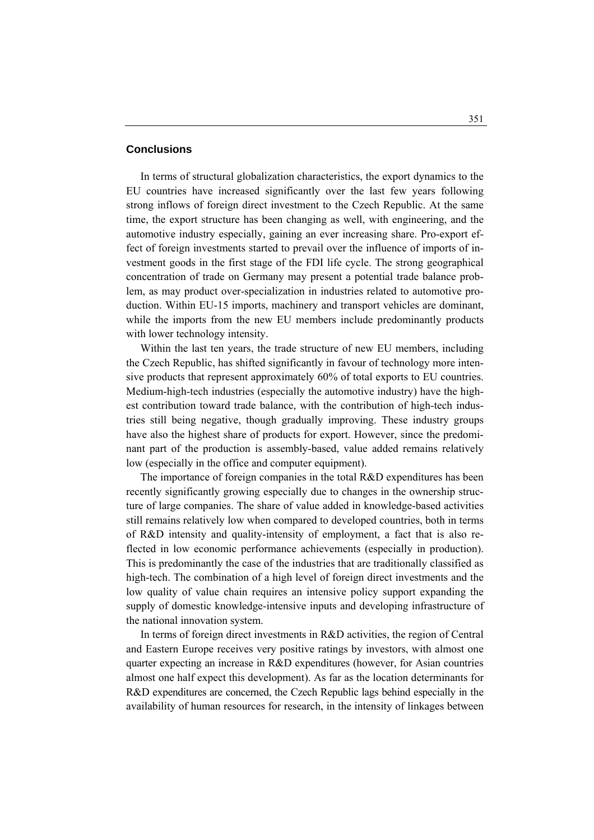# **Conclusions**

 In terms of structural globalization characteristics, the export dynamics to the EU countries have increased significantly over the last few years following strong inflows of foreign direct investment to the Czech Republic. At the same time, the export structure has been changing as well, with engineering, and the automotive industry especially, gaining an ever increasing share. Pro-export effect of foreign investments started to prevail over the influence of imports of investment goods in the first stage of the FDI life cycle. The strong geographical concentration of trade on Germany may present a potential trade balance problem, as may product over-specialization in industries related to automotive production. Within EU-15 imports, machinery and transport vehicles are dominant, while the imports from the new EU members include predominantly products with lower technology intensity.

 Within the last ten years, the trade structure of new EU members, including the Czech Republic, has shifted significantly in favour of technology more intensive products that represent approximately 60% of total exports to EU countries. Medium-high-tech industries (especially the automotive industry) have the highest contribution toward trade balance, with the contribution of high-tech industries still being negative, though gradually improving. These industry groups have also the highest share of products for export. However, since the predominant part of the production is assembly-based, value added remains relatively low (especially in the office and computer equipment).

 The importance of foreign companies in the total R&D expenditures has been recently significantly growing especially due to changes in the ownership structure of large companies. The share of value added in knowledge-based activities still remains relatively low when compared to developed countries, both in terms of R&D intensity and quality-intensity of employment, a fact that is also reflected in low economic performance achievements (especially in production). This is predominantly the case of the industries that are traditionally classified as high-tech. The combination of a high level of foreign direct investments and the low quality of value chain requires an intensive policy support expanding the supply of domestic knowledge-intensive inputs and developing infrastructure of the national innovation system.

 In terms of foreign direct investments in R&D activities, the region of Central and Eastern Europe receives very positive ratings by investors, with almost one quarter expecting an increase in R&D expenditures (however, for Asian countries almost one half expect this development). As far as the location determinants for R&D expenditures are concerned, the Czech Republic lags behind especially in the availability of human resources for research, in the intensity of linkages between